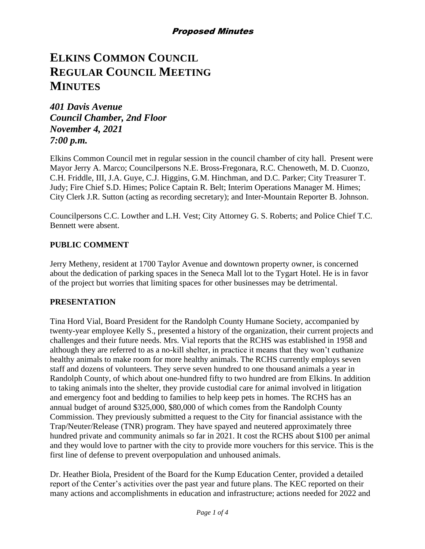# **ELKINS COMMON COUNCIL REGULAR COUNCIL MEETING MINUTES**

*401 Davis Avenue Council Chamber, 2nd Floor November 4, 2021 7:00 p.m.*

Elkins Common Council met in regular session in the council chamber of city hall. Present were Mayor Jerry A. Marco; Councilpersons N.E. Bross-Fregonara, R.C. Chenoweth, M. D. Cuonzo, C.H. Friddle, III, J.A. Guye, C.J. Higgins, G.M. Hinchman, and D.C. Parker; City Treasurer T. Judy; Fire Chief S.D. Himes; Police Captain R. Belt; Interim Operations Manager M. Himes; City Clerk J.R. Sutton (acting as recording secretary); and Inter-Mountain Reporter B. Johnson.

Councilpersons C.C. Lowther and L.H. Vest; City Attorney G. S. Roberts; and Police Chief T.C. Bennett were absent.

# **PUBLIC COMMENT**

Jerry Metheny, resident at 1700 Taylor Avenue and downtown property owner, is concerned about the dedication of parking spaces in the Seneca Mall lot to the Tygart Hotel. He is in favor of the project but worries that limiting spaces for other businesses may be detrimental.

### **PRESENTATION**

Tina Hord Vial, Board President for the Randolph County Humane Society, accompanied by twenty-year employee Kelly S., presented a history of the organization, their current projects and challenges and their future needs. Mrs. Vial reports that the RCHS was established in 1958 and although they are referred to as a no-kill shelter, in practice it means that they won't euthanize healthy animals to make room for more healthy animals. The RCHS currently employs seven staff and dozens of volunteers. They serve seven hundred to one thousand animals a year in Randolph County, of which about one-hundred fifty to two hundred are from Elkins. In addition to taking animals into the shelter, they provide custodial care for animal involved in litigation and emergency foot and bedding to families to help keep pets in homes. The RCHS has an annual budget of around \$325,000, \$80,000 of which comes from the Randolph County Commission. They previously submitted a request to the City for financial assistance with the Trap/Neuter/Release (TNR) program. They have spayed and neutered approximately three hundred private and community animals so far in 2021. It cost the RCHS about \$100 per animal and they would love to partner with the city to provide more vouchers for this service. This is the first line of defense to prevent overpopulation and unhoused animals.

Dr. Heather Biola, President of the Board for the Kump Education Center, provided a detailed report of the Center's activities over the past year and future plans. The KEC reported on their many actions and accomplishments in education and infrastructure; actions needed for 2022 and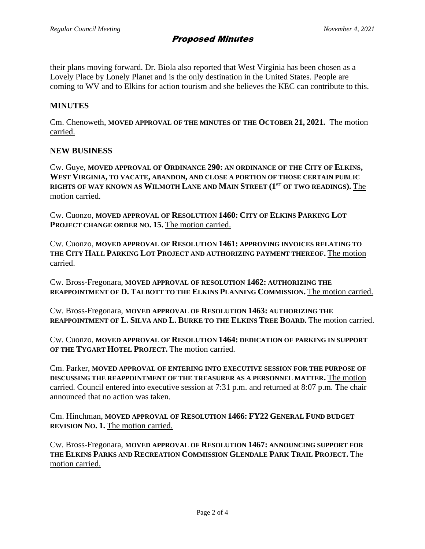their plans moving forward. Dr. Biola also reported that West Virginia has been chosen as a Lovely Place by Lonely Planet and is the only destination in the United States. People are coming to WV and to Elkins for action tourism and she believes the KEC can contribute to this.

#### **MINUTES**

Cm. Chenoweth, **MOVED APPROVAL OF THE MINUTES OF THE OCTOBER 21, 2021.** The motion carried.

#### **NEW BUSINESS**

Cw. Guye, **MOVED APPROVAL OF ORDINANCE 290: AN ORDINANCE OF THE CITY OF ELKINS, WEST VIRGINIA, TO VACATE, ABANDON, AND CLOSE A PORTION OF THOSE CERTAIN PUBLIC RIGHTS OF WAY KNOWN AS WILMOTH LANE AND MAIN STREET (1ST OF TWO READINGS).** The motion carried.

Cw. Cuonzo, **MOVED APPROVAL OF RESOLUTION 1460: CITY OF ELKINS PARKING LOT PROJECT CHANGE ORDER NO. 15.** The motion carried.

Cw. Cuonzo, **MOVED APPROVAL OF RESOLUTION 1461: APPROVING INVOICES RELATING TO THE CITY HALL PARKING LOT PROJECT AND AUTHORIZING PAYMENT THEREOF.** The motion carried.

Cw. Bross-Fregonara, **MOVED APPROVAL OF RESOLUTION 1462: AUTHORIZING THE REAPPOINTMENT OF D. TALBOTT TO THE ELKINS PLANNING COMMISSION.** The motion carried.

Cw. Bross-Fregonara, **MOVED APPROVAL OF RESOLUTION 1463: AUTHORIZING THE REAPPOINTMENT OF L. SILVA AND L. BURKE TO THE ELKINS TREE BOARD.** The motion carried.

Cw. Cuonzo, **MOVED APPROVAL OF RESOLUTION 1464: DEDICATION OF PARKING IN SUPPORT OF THE TYGART HOTEL PROJECT.** The motion carried.

Cm. Parker, **MOVED APPROVAL OF ENTERING INTO EXECUTIVE SESSION FOR THE PURPOSE OF DISCUSSING THE REAPPOINTMENT OF THE TREASURER AS A PERSONNEL MATTER.** The motion carried. Council entered into executive session at 7:31 p.m. and returned at 8:07 p.m. The chair announced that no action was taken.

Cm. Hinchman, **MOVED APPROVAL OF RESOLUTION 1466: FY22 GENERAL FUND BUDGET REVISION NO. 1.** The motion carried.

Cw. Bross-Fregonara, **MOVED APPROVAL OF RESOLUTION 1467: ANNOUNCING SUPPORT FOR THE ELKINS PARKS AND RECREATION COMMISSION GLENDALE PARK TRAIL PROJECT.** The motion carried.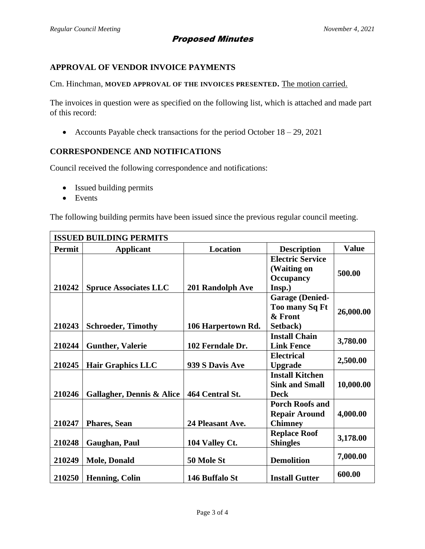# Proposed Minutes

# **APPROVAL OF VENDOR INVOICE PAYMENTS**

Cm. Hinchman, **MOVED APPROVAL OF THE INVOICES PRESENTED.** The motion carried.

The invoices in question were as specified on the following list, which is attached and made part of this record:

• Accounts Payable check transactions for the period October 18 – 29, 2021

#### **CORRESPONDENCE AND NOTIFICATIONS**

Council received the following correspondence and notifications:

- Issued building permits
- Events

The following building permits have been issued since the previous regular council meeting.

| <b>ISSUED BUILDING PERMITS</b> |                                      |                    |                                                                        |              |  |  |  |
|--------------------------------|--------------------------------------|--------------------|------------------------------------------------------------------------|--------------|--|--|--|
| Permit                         | <b>Applicant</b>                     | <b>Location</b>    | <b>Description</b>                                                     | <b>Value</b> |  |  |  |
| 210242                         | <b>Spruce Associates LLC</b>         | 201 Randolph Ave   | <b>Electric Service</b><br>(Waiting on<br>Occupancy<br>Insp.)          | 500.00       |  |  |  |
| 210243                         | <b>Schroeder, Timothy</b>            | 106 Harpertown Rd. | <b>Garage (Denied-</b><br><b>Too many Sq Ft</b><br>& Front<br>Setback) | 26,000.00    |  |  |  |
| 210244                         | <b>Gunther, Valerie</b>              | 102 Ferndale Dr.   | <b>Install Chain</b><br><b>Link Fence</b>                              | 3,780.00     |  |  |  |
| 210245                         | <b>Hair Graphics LLC</b>             | 939 S Davis Ave    | <b>Electrical</b><br><b>Upgrade</b>                                    | 2,500.00     |  |  |  |
| 210246                         | <b>Gallagher, Dennis &amp; Alice</b> | 464 Central St.    | <b>Install Kitchen</b><br><b>Sink and Small</b><br><b>Deck</b>         | 10,000.00    |  |  |  |
| 210247                         | <b>Phares, Sean</b>                  | 24 Pleasant Ave.   | <b>Porch Roofs and</b><br><b>Repair Around</b><br><b>Chimney</b>       | 4,000.00     |  |  |  |
| 210248                         | Gaughan, Paul                        | 104 Valley Ct.     | <b>Replace Roof</b><br><b>Shingles</b>                                 | 3,178.00     |  |  |  |
| 210249                         | <b>Mole, Donald</b>                  | 50 Mole St         | <b>Demolition</b>                                                      | 7,000.00     |  |  |  |
| 210250                         | <b>Henning, Colin</b>                | 146 Buffalo St     | <b>Install Gutter</b>                                                  | 600.00       |  |  |  |